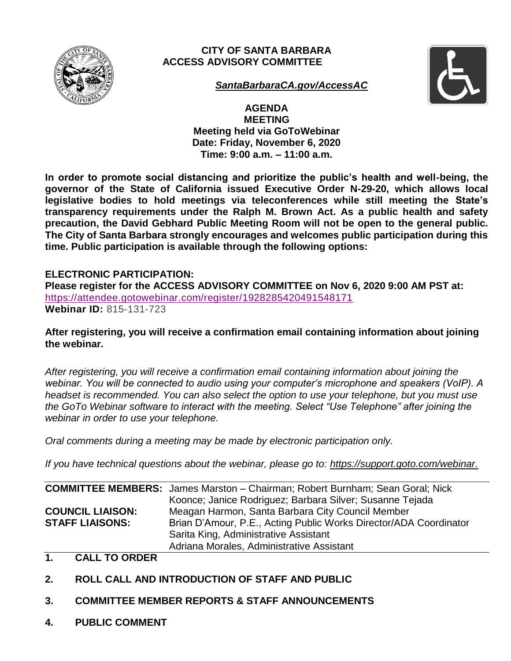

# **CITY OF SANTA BARBARA ACCESS ADVISORY COMMITTEE**



*[SantaBarbaraCA.gov/AccessAC](https://www.santabarbaraca.gov/gov/brdcomm/ac/access/default.asp)*

**AGENDA MEETING Meeting held via GoToWebinar Date: Friday, November 6, 2020 Time: 9:00 a.m. – 11:00 a.m.**

**In order to promote social distancing and prioritize the public's health and well-being, the governor of the State of California issued Executive Order N-29-20, which allows local legislative bodies to hold meetings via teleconferences while still meeting the State's transparency requirements under the Ralph M. Brown Act. As a public health and safety precaution, the David Gebhard Public Meeting Room will not be open to the general public. The City of Santa Barbara strongly encourages and welcomes public participation during this time. Public participation is available through the following options:** 

# **ELECTRONIC PARTICIPATION:**

**Please register for the ACCESS ADVISORY COMMITTEE on Nov 6, 2020 9:00 AM PST at:** <https://attendee.gotowebinar.com/register/1928285420491548171> **Webinar ID:** 815-131-723

**After registering, you will receive a confirmation email containing information about joining the webinar.**

*After registering, you will receive a confirmation email containing information about joining the webinar. You will be connected to audio using your computer's microphone and speakers (VoIP). A headset is recommended. You can also select the option to use your telephone, but you must use the GoTo Webinar software to interact with the meeting. Select "Use Telephone" after joining the webinar in order to use your telephone.*

*Oral comments during a meeting may be made by electronic participation only.*

*If you have technical questions about the webinar, please go to: [https://support.goto.com/webinar.](https://support.goto.com/webinar)*

|                         | <b>COMMITTEE MEMBERS:</b> James Marston - Chairman; Robert Burnham; Sean Goral; Nick |
|-------------------------|--------------------------------------------------------------------------------------|
|                         | Koonce; Janice Rodriguez; Barbara Silver; Susanne Tejada                             |
| <b>COUNCIL LIAISON:</b> | Meagan Harmon, Santa Barbara City Council Member                                     |
| <b>STAFF LIAISONS:</b>  | Brian D'Amour, P.E., Acting Public Works Director/ADA Coordinator                    |
|                         | Sarita King, Administrative Assistant                                                |
|                         | Adriana Morales, Administrative Assistant                                            |

### **1. CALL TO ORDER**

- **2. ROLL CALL AND INTRODUCTION OF STAFF AND PUBLIC**
- **3. COMMITTEE MEMBER REPORTS & STAFF ANNOUNCEMENTS**
- **4. PUBLIC COMMENT**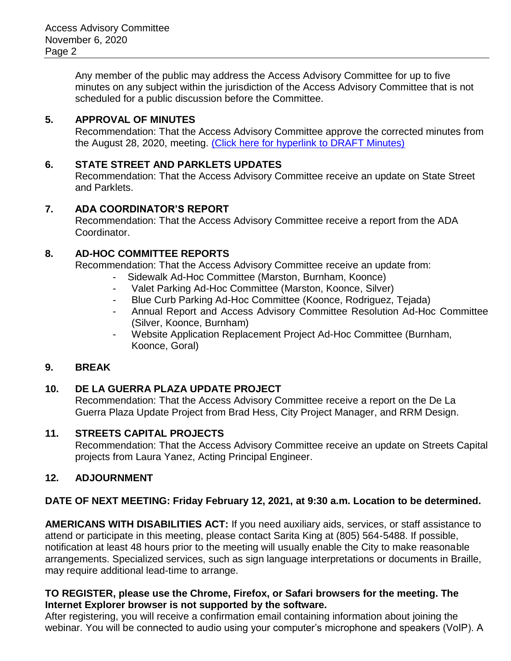Any member of the public may address the Access Advisory Committee for up to five minutes on any subject within the jurisdiction of the Access Advisory Committee that is not scheduled for a public discussion before the Committee.

### **5. APPROVAL OF MINUTES**

Recommendation: That the Access Advisory Committee approve the corrected minutes from the August 28, 2020, meeting. [\(Click here for hyperlink to DRAFT Minutes\)](https://www.santabarbaraca.gov/civicax/filebank/blobdload.aspx?BlobID=230796)

#### **6. STATE STREET AND PARKLETS UPDATES**

Recommendation: That the Access Advisory Committee receive an update on State Street and Parklets.

#### **7. ADA COORDINATOR'S REPORT**

Recommendation: That the Access Advisory Committee receive a report from the ADA Coordinator.

# **8. AD-HOC COMMITTEE REPORTS**

Recommendation: That the Access Advisory Committee receive an update from:

- Sidewalk Ad-Hoc Committee (Marston, Burnham, Koonce)
- Valet Parking Ad-Hoc Committee (Marston, Koonce, Silver)
- Blue Curb Parking Ad-Hoc Committee (Koonce, Rodriguez, Tejada)
- Annual Report and Access Advisory Committee Resolution Ad-Hoc Committee (Silver, Koonce, Burnham)
- Website Application Replacement Project Ad-Hoc Committee (Burnham, Koonce, Goral)

# **9. BREAK**

# **10. DE LA GUERRA PLAZA UPDATE PROJECT**

Recommendation: That the Access Advisory Committee receive a report on the De La Guerra Plaza Update Project from Brad Hess, City Project Manager, and RRM Design.

#### **11. STREETS CAPITAL PROJECTS**

Recommendation: That the Access Advisory Committee receive an update on Streets Capital projects from Laura Yanez, Acting Principal Engineer.

#### **12. ADJOURNMENT**

# **DATE OF NEXT MEETING: Friday February 12, 2021, at 9:30 a.m. Location to be determined.**

**AMERICANS WITH DISABILITIES ACT:** If you need auxiliary aids, services, or staff assistance to attend or participate in this meeting, please contact Sarita King at (805) 564-5488. If possible, notification at least 48 hours prior to the meeting will usually enable the City to make reasonable arrangements. Specialized services, such as sign language interpretations or documents in Braille, may require additional lead-time to arrange.

#### **TO REGISTER, please use the Chrome, Firefox, or Safari browsers for the meeting. The Internet Explorer browser is not supported by the software.**

After registering, you will receive a confirmation email containing information about joining the webinar. You will be connected to audio using your computer's microphone and speakers (VoIP). A